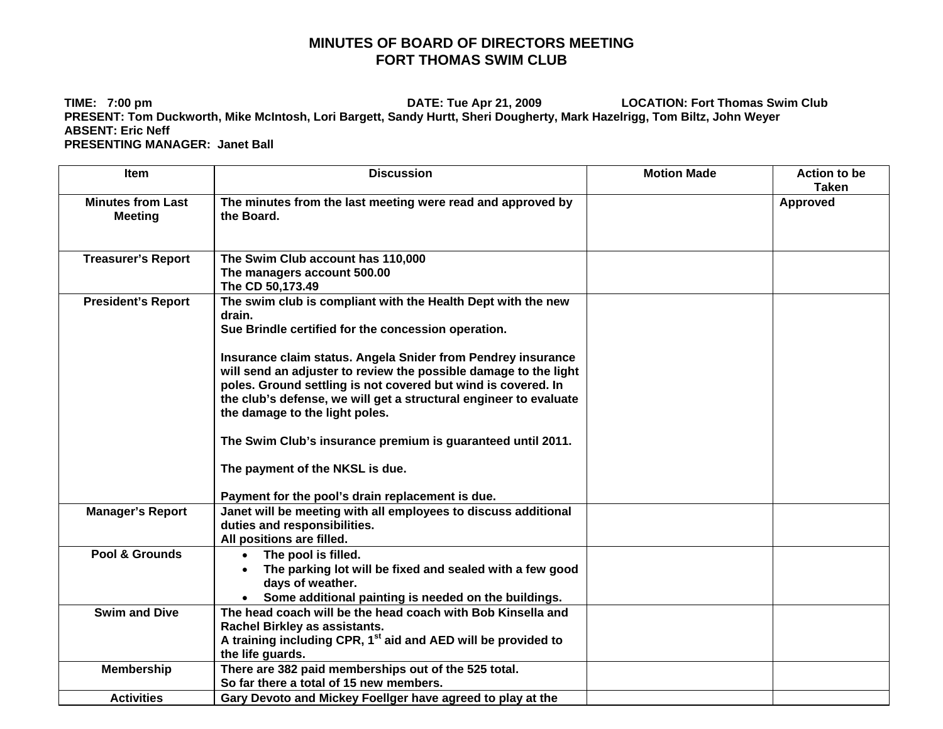## **MINUTES OF BOARD OF DIRECTORS MEETING FORT THOMAS SWIM CLUB**

**TIME: 7:00 pm DATE: Tue Apr 21, 2009 LOCATION: Fort Thomas Swim Club PRESENT: Tom Duckworth, Mike McIntosh, Lori Bargett, Sandy Hurtt, Sheri Dougherty, Mark Hazelrigg, Tom Biltz, John Weyer ABSENT: Eric Neff PRESENTING MANAGER: Janet Ball** 

| <b>Item</b>                                | <b>Discussion</b>                                                                                                                                                                                                                                                                                                                                                                                                                                                                                                                                                                               | <b>Motion Made</b> | <b>Action to be</b><br>Taken |
|--------------------------------------------|-------------------------------------------------------------------------------------------------------------------------------------------------------------------------------------------------------------------------------------------------------------------------------------------------------------------------------------------------------------------------------------------------------------------------------------------------------------------------------------------------------------------------------------------------------------------------------------------------|--------------------|------------------------------|
| <b>Minutes from Last</b><br><b>Meeting</b> | The minutes from the last meeting were read and approved by<br>the Board.                                                                                                                                                                                                                                                                                                                                                                                                                                                                                                                       |                    | Approved                     |
| <b>Treasurer's Report</b>                  | The Swim Club account has 110,000<br>The managers account 500.00<br>The CD 50,173.49                                                                                                                                                                                                                                                                                                                                                                                                                                                                                                            |                    |                              |
| <b>President's Report</b>                  | The swim club is compliant with the Health Dept with the new<br>drain.<br>Sue Brindle certified for the concession operation.<br>Insurance claim status. Angela Snider from Pendrey insurance<br>will send an adjuster to review the possible damage to the light<br>poles. Ground settling is not covered but wind is covered. In<br>the club's defense, we will get a structural engineer to evaluate<br>the damage to the light poles.<br>The Swim Club's insurance premium is guaranteed until 2011.<br>The payment of the NKSL is due.<br>Payment for the pool's drain replacement is due. |                    |                              |
| <b>Manager's Report</b>                    | Janet will be meeting with all employees to discuss additional<br>duties and responsibilities.<br>All positions are filled.                                                                                                                                                                                                                                                                                                                                                                                                                                                                     |                    |                              |
| Pool & Grounds                             | The pool is filled.<br>The parking lot will be fixed and sealed with a few good<br>days of weather.<br>Some additional painting is needed on the buildings.                                                                                                                                                                                                                                                                                                                                                                                                                                     |                    |                              |
| <b>Swim and Dive</b>                       | The head coach will be the head coach with Bob Kinsella and<br>Rachel Birkley as assistants.<br>A training including CPR, 1 <sup>st</sup> aid and AED will be provided to<br>the life guards.                                                                                                                                                                                                                                                                                                                                                                                                   |                    |                              |
| Membership                                 | There are 382 paid memberships out of the 525 total.<br>So far there a total of 15 new members.                                                                                                                                                                                                                                                                                                                                                                                                                                                                                                 |                    |                              |
| <b>Activities</b>                          | Gary Devoto and Mickey Foeliger have agreed to play at the                                                                                                                                                                                                                                                                                                                                                                                                                                                                                                                                      |                    |                              |